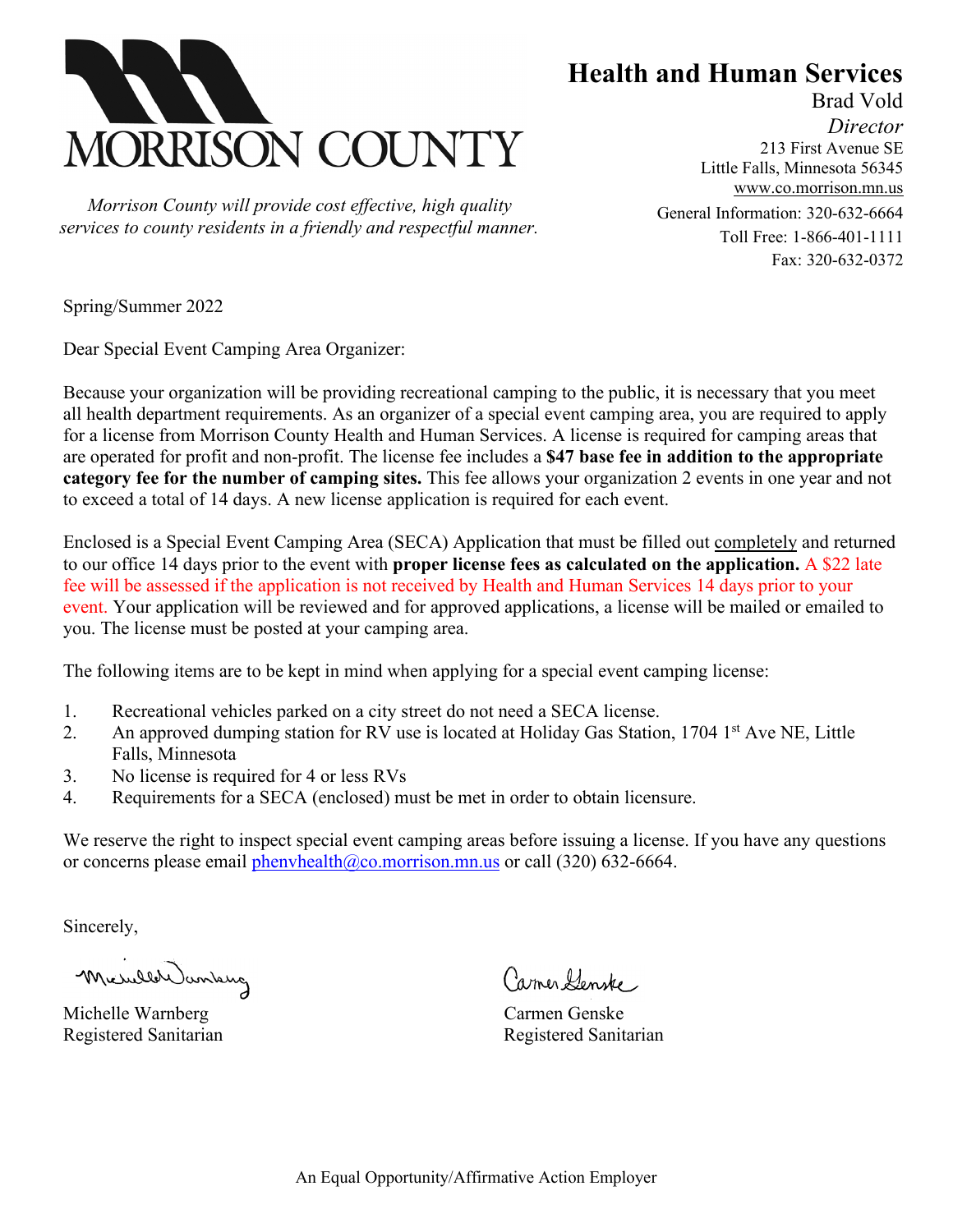

 *Morrison County will provide cost effective, high quality services to county residents in a friendly and respectful manner.* **Health and Human Services** Brad Vold

*Director* 213 First Avenue SE Little Falls, Minnesota 56345 [www.co.morrison.mn.us](http://www.co.morrison.mn.us/) General Information: 320-632-6664 Toll Free: 1-866-401-1111 Fax: 320-632-0372

Spring/Summer 2022

Dear Special Event Camping Area Organizer:

Because your organization will be providing recreational camping to the public, it is necessary that you meet all health department requirements. As an organizer of a special event camping area, you are required to apply for a license from Morrison County Health and Human Services. A license is required for camping areas that are operated for profit and non-profit. The license fee includes a **\$47 base fee in addition to the appropriate category fee for the number of camping sites.** This fee allows your organization 2 events in one year and not to exceed a total of 14 days. A new license application is required for each event.

Enclosed is a Special Event Camping Area (SECA) Application that must be filled out completely and returned to our office 14 days prior to the event with **proper license fees as calculated on the application.** A \$22 late fee will be assessed if the application is not received by Health and Human Services 14 days prior to your event. Your application will be reviewed and for approved applications, a license will be mailed or emailed to you. The license must be posted at your camping area.

The following items are to be kept in mind when applying for a special event camping license:

- 1. Recreational vehicles parked on a city street do not need a SECA license.
- 2. An approved dumping station for RV use is located at Holiday Gas Station, 1704 1<sup>st</sup> Ave NE, Little Falls, Minnesota
- 3. No license is required for 4 or less RVs
- 4. Requirements for a SECA (enclosed) must be met in order to obtain licensure.

We reserve the right to inspect special event camping areas before issuing a license. If you have any questions or concerns please email [phenvhealth@co.morrison.mn.us](mailto:phenvhealth@co.morrison.mn.us) or call (320) 632-6664.

Sincerely,

Micheler Janking

Michelle Warnberg Carmen Genske Registered Sanitarian and Registered Sanitarian

Carmer Henske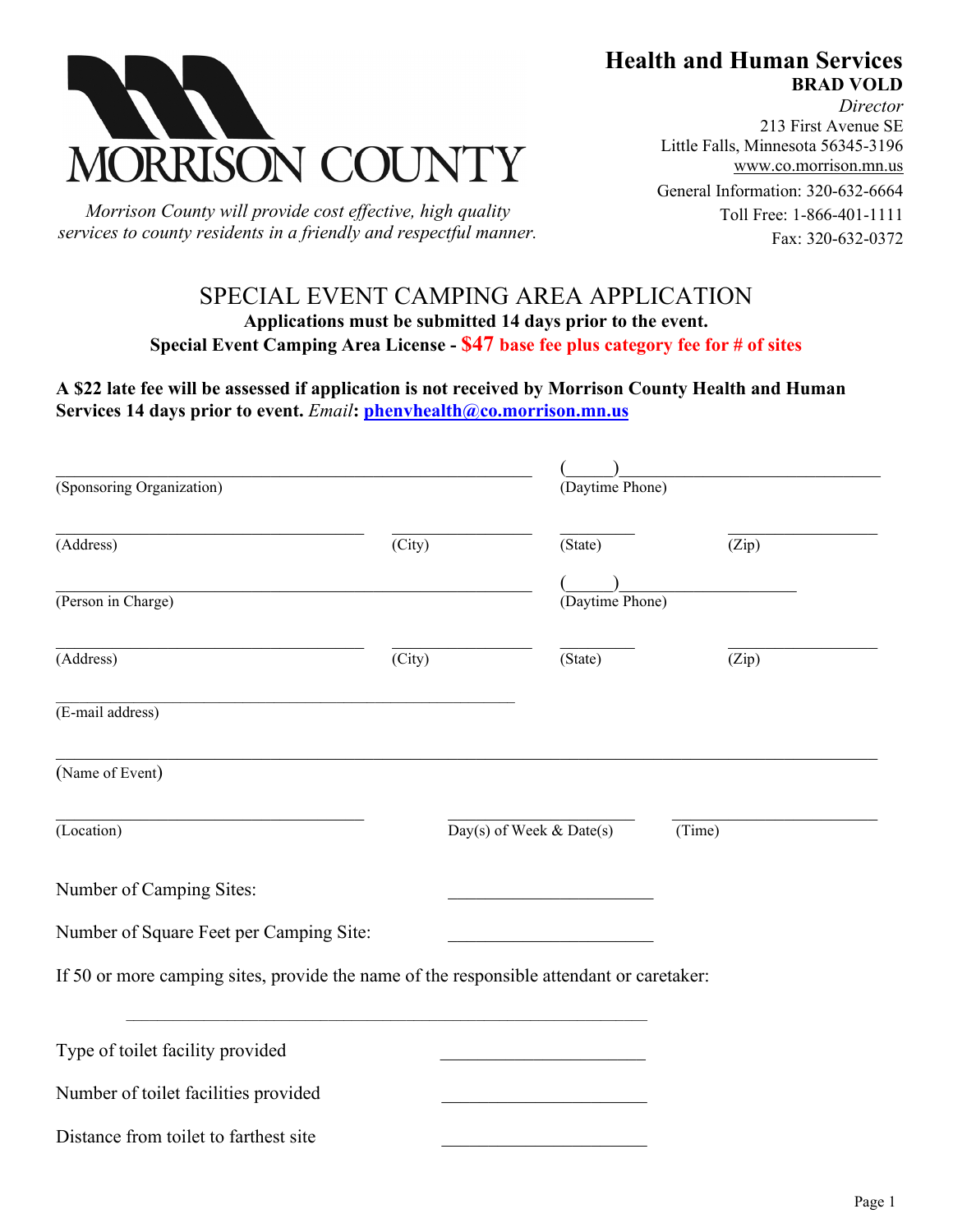



*Morrison County will provide cost effective, high quality services to county residents in a friendly and respectful manner.* 

*Director* 213 First Avenue SE Little Falls, Minnesota 56345-3196 [www.co.morrison.mn.us](http://www.co.morrison.mn.us/) General Information: 320-632-6664 Toll Free: 1-866-401-1111 Fax: 320-632-0372

## SPECIAL EVENT CAMPING AREA APPLICATION **Applications must be submitted 14 days prior to the event. Special Event Camping Area License - \$47 base fee plus category fee for # of sites**

**A \$22 late fee will be assessed if application is not received by Morrison County Health and Human Services 14 days prior to event.** *Email***: [phenvhealth@co.morrison.mn.us](mailto:phenvhealth@co.morrison.mn.us)** 

| (Sponsoring Organization)                                                                |        |                          | (Daytime Phone) |        |
|------------------------------------------------------------------------------------------|--------|--------------------------|-----------------|--------|
| (Address)                                                                                | (City) |                          | (State)         | (Zip)  |
|                                                                                          |        |                          |                 |        |
| (Person in Charge)                                                                       |        |                          | (Daytime Phone) |        |
| (Address)                                                                                | (City) |                          | (State)         | (Zip)  |
| (E-mail address)                                                                         |        |                          |                 |        |
| (Name of Event)                                                                          |        |                          |                 |        |
| (Location)                                                                               |        | Day(s) of Week & Date(s) |                 | (Time) |
| Number of Camping Sites:                                                                 |        |                          |                 |        |
| Number of Square Feet per Camping Site:                                                  |        |                          |                 |        |
| If 50 or more camping sites, provide the name of the responsible attendant or caretaker: |        |                          |                 |        |
| Type of toilet facility provided                                                         |        |                          |                 |        |
| Number of toilet facilities provided                                                     |        |                          |                 |        |
| Distance from toilet to farthest site                                                    |        |                          |                 |        |